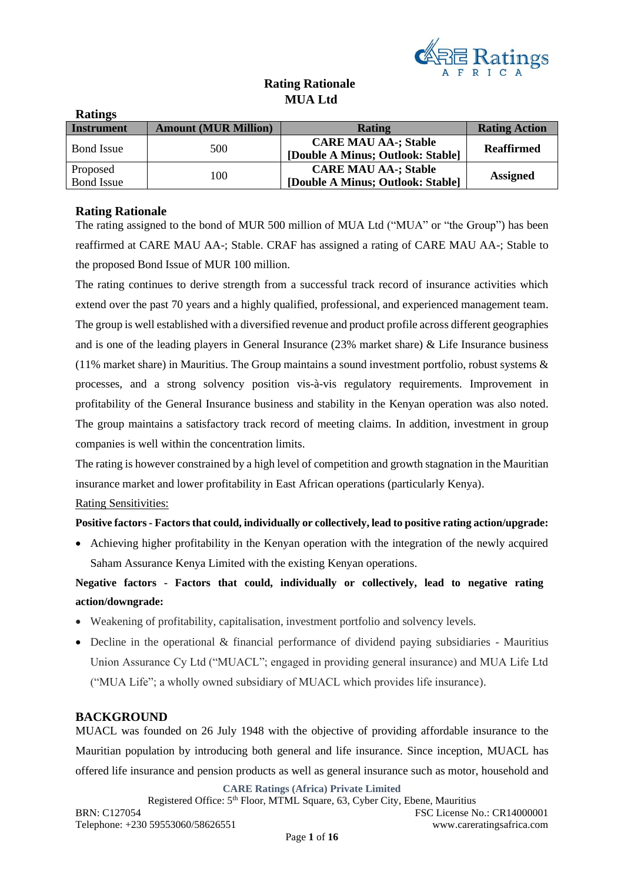

## **Rating Rationale MUA Ltd**

| <b>Ratings</b>    |                             |                                   |                      |
|-------------------|-----------------------------|-----------------------------------|----------------------|
| <b>Instrument</b> | <b>Amount (MUR Million)</b> | Rating                            | <b>Rating Action</b> |
|                   | 500                         | <b>CARE MAU AA-; Stable</b>       | <b>Reaffirmed</b>    |
| <b>Bond</b> Issue |                             | [Double A Minus; Outlook: Stable] |                      |
| Proposed          |                             | <b>CARE MAU AA-; Stable</b>       |                      |
| <b>Bond Issue</b> | 100                         | [Double A Minus; Outlook: Stable] | <b>Assigned</b>      |

### **Rating Rationale**

The rating assigned to the bond of MUR 500 million of MUA Ltd ("MUA" or "the Group") has been reaffirmed at CARE MAU AA-; Stable. CRAF has assigned a rating of CARE MAU AA-; Stable to the proposed Bond Issue of MUR 100 million.

The rating continues to derive strength from a successful track record of insurance activities which extend over the past 70 years and a highly qualified, professional, and experienced management team. The group is well established with a diversified revenue and product profile across different geographies and is one of the leading players in General Insurance (23% market share) & Life Insurance business (11% market share) in Mauritius. The Group maintains a sound investment portfolio, robust systems & processes, and a strong solvency position vis-à-vis regulatory requirements. Improvement in profitability of the General Insurance business and stability in the Kenyan operation was also noted. The group maintains a satisfactory track record of meeting claims. In addition, investment in group companies is well within the concentration limits.

The rating is however constrained by a high level of competition and growth stagnation in the Mauritian insurance market and lower profitability in East African operations (particularly Kenya).

### Rating Sensitivities:

### **Positive factors- Factors that could, individually or collectively, lead to positive rating action/upgrade:**

• Achieving higher profitability in the Kenyan operation with the integration of the newly acquired Saham Assurance Kenya Limited with the existing Kenyan operations.

**Negative factors - Factors that could, individually or collectively, lead to negative rating action/downgrade:**

- Weakening of profitability, capitalisation, investment portfolio and solvency levels.
- Decline in the operational & financial performance of dividend paying subsidiaries Mauritius Union Assurance Cy Ltd ("MUACL"; engaged in providing general insurance) and MUA Life Ltd ("MUA Life"; a wholly owned subsidiary of MUACL which provides life insurance).

### **BACKGROUND**

MUACL was founded on 26 July 1948 with the objective of providing affordable insurance to the Mauritian population by introducing both general and life insurance. Since inception, MUACL has offered life insurance and pension products as well as general insurance such as motor, household and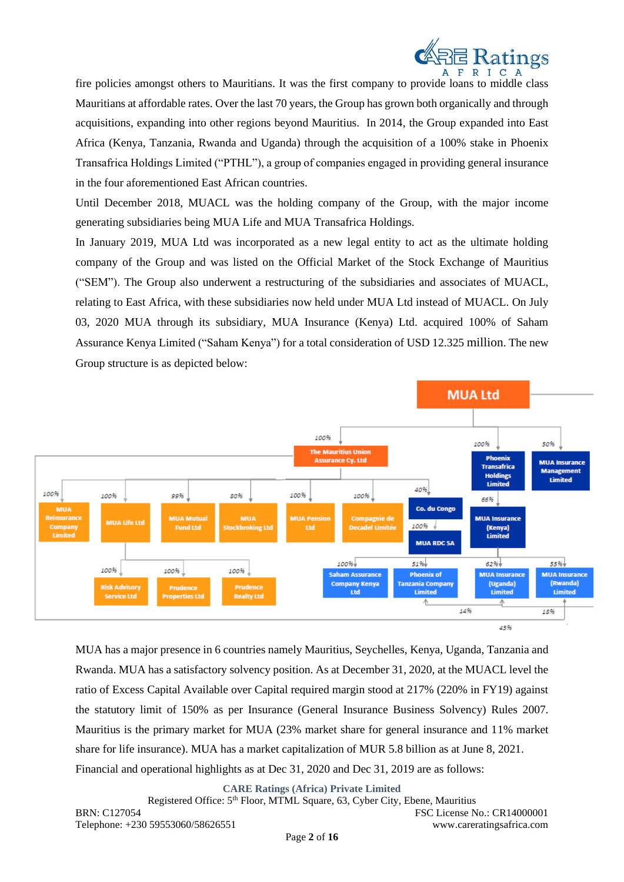

fire policies amongst others to Mauritians. It was the first company to provide loans to middle class Mauritians at affordable rates. Over the last 70 years, the Group has grown both organically and through acquisitions, expanding into other regions beyond Mauritius. In 2014, the Group expanded into East Africa (Kenya, Tanzania, Rwanda and Uganda) through the acquisition of a 100% stake in Phoenix Transafrica Holdings Limited ("PTHL"), a group of companies engaged in providing general insurance in the four aforementioned East African countries.

Until December 2018, MUACL was the holding company of the Group, with the major income generating subsidiaries being MUA Life and MUA Transafrica Holdings.

In January 2019, MUA Ltd was incorporated as a new legal entity to act as the ultimate holding company of the Group and was listed on the Official Market of the Stock Exchange of Mauritius ("SEM"). The Group also underwent a restructuring of the subsidiaries and associates of MUACL, relating to East Africa, with these subsidiaries now held under MUA Ltd instead of MUACL. On July 03, 2020 MUA through its subsidiary, MUA Insurance (Kenya) Ltd. acquired 100% of Saham Assurance Kenya Limited ("Saham Kenya") for a total consideration of USD 12.325 million. The new Group structure is as depicted below:



MUA has a major presence in 6 countries namely Mauritius, Seychelles, Kenya, Uganda, Tanzania and Rwanda. MUA has a satisfactory solvency position. As at December 31, 2020, at the MUACL level the ratio of Excess Capital Available over Capital required margin stood at 217% (220% in FY19) against the statutory limit of 150% as per Insurance (General Insurance Business Solvency) Rules 2007. Mauritius is the primary market for MUA (23% market share for general insurance and 11% market share for life insurance). MUA has a market capitalization of MUR 5.8 billion as at June 8, 2021. Financial and operational highlights as at Dec 31, 2020 and Dec 31, 2019 are as follows:

**CARE Ratings (Africa) Private Limited**

Registered Office: 5<sup>th</sup> Floor, MTML Square, 63, Cyber City, Ebene, Mauritius BRN: C127054 FSC License No.: CR14000001 Telephone: +230 59553060/58626551 www.careratingsafrica.com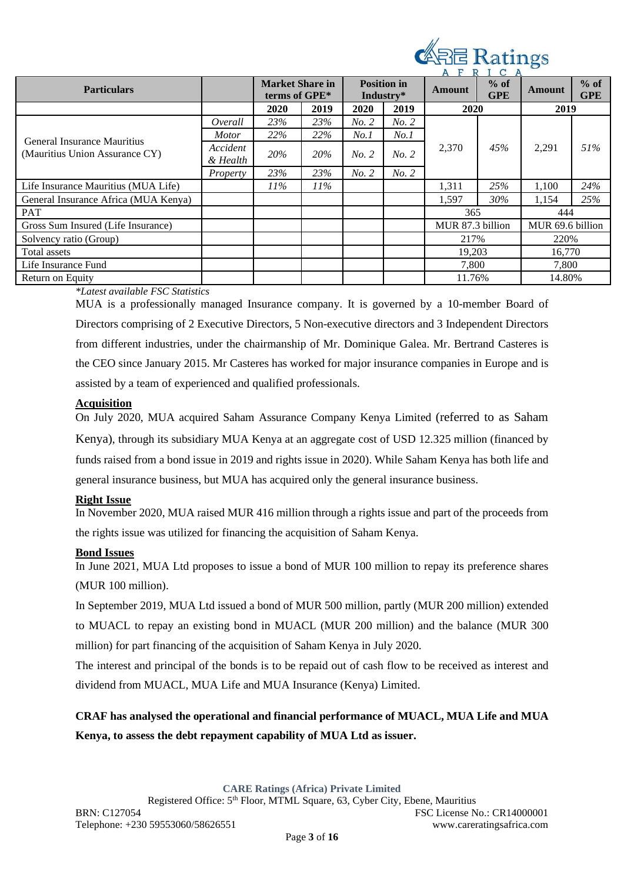

| <b>Particulars</b>                   |                      | <b>Market Share in</b><br>terms of GPE* |        |       | <b>Position in</b><br>Industry* | $%$ of<br><b>Amount</b><br><b>GPE</b> |     | $\sim$ $\sim$ $\sim$<br><b>Amount</b> | $%$ of<br><b>GPE</b> |  |  |     |       |     |
|--------------------------------------|----------------------|-----------------------------------------|--------|-------|---------------------------------|---------------------------------------|-----|---------------------------------------|----------------------|--|--|-----|-------|-----|
|                                      |                      | 2020                                    | 2019   | 2020  | 2019                            | 2020                                  |     | 2019                                  |                      |  |  |     |       |     |
|                                      | Overall              | 23%                                     | 23%    | No. 2 | No. 2                           |                                       |     |                                       |                      |  |  |     |       |     |
| General Insurance Mauritius          | <i>Motor</i>         | 22%                                     | 22%    | No.1  | No.1                            |                                       |     |                                       |                      |  |  |     |       |     |
| (Mauritius Union Assurance CY)       | Accident<br>& Health | 20%                                     | 20%    | No. 2 | No. 2                           | 2,370                                 |     |                                       |                      |  |  | 45% | 2,291 | 51% |
|                                      | Property             | 23%                                     | 23%    | No. 2 | No. 2                           |                                       |     |                                       |                      |  |  |     |       |     |
| Life Insurance Mauritius (MUA Life)  |                      | $11\%$                                  | $11\%$ |       |                                 | 1,311                                 | 25% | 1,100                                 | 24%                  |  |  |     |       |     |
| General Insurance Africa (MUA Kenya) |                      |                                         |        |       |                                 | 1,597                                 | 30% | 1,154                                 | 25%                  |  |  |     |       |     |
| <b>PAT</b>                           |                      |                                         |        |       |                                 | 365                                   |     | 444                                   |                      |  |  |     |       |     |
| Gross Sum Insured (Life Insurance)   |                      |                                         |        |       |                                 | MUR 87.3 billion                      |     | MUR 69.6 billion                      |                      |  |  |     |       |     |
| Solvency ratio (Group)               |                      |                                         |        |       |                                 | 217%                                  |     | 220%                                  |                      |  |  |     |       |     |
| Total assets                         |                      |                                         |        |       |                                 | 19,203                                |     | 16.770                                |                      |  |  |     |       |     |
| Life Insurance Fund                  |                      |                                         |        |       |                                 | 7,800                                 |     | 7,800                                 |                      |  |  |     |       |     |
| Return on Equity                     |                      |                                         |        |       |                                 | 11.76%                                |     | 14.80%                                |                      |  |  |     |       |     |

### *\*Latest available FSC Statistics*

MUA is a professionally managed Insurance company. It is governed by a 10-member Board of Directors comprising of 2 Executive Directors, 5 Non-executive directors and 3 Independent Directors from different industries, under the chairmanship of Mr. Dominique Galea. Mr. Bertrand Casteres is the CEO since January 2015. Mr Casteres has worked for major insurance companies in Europe and is assisted by a team of experienced and qualified professionals.

### **Acquisition**

On July 2020, MUA acquired Saham Assurance Company Kenya Limited (referred to as Saham Kenya), through its subsidiary MUA Kenya at an aggregate cost of USD 12.325 million (financed by funds raised from a bond issue in 2019 and rights issue in 2020). While Saham Kenya has both life and general insurance business, but MUA has acquired only the general insurance business.

### **Right Issue**

In November 2020, MUA raised MUR 416 million through a rights issue and part of the proceeds from the rights issue was utilized for financing the acquisition of Saham Kenya.

### **Bond Issues**

In June 2021, MUA Ltd proposes to issue a bond of MUR 100 million to repay its preference shares (MUR 100 million).

In September 2019, MUA Ltd issued a bond of MUR 500 million, partly (MUR 200 million) extended to MUACL to repay an existing bond in MUACL (MUR 200 million) and the balance (MUR 300 million) for part financing of the acquisition of Saham Kenya in July 2020.

The interest and principal of the bonds is to be repaid out of cash flow to be received as interest and dividend from MUACL, MUA Life and MUA Insurance (Kenya) Limited.

# **CRAF has analysed the operational and financial performance of MUACL, MUA Life and MUA Kenya, to assess the debt repayment capability of MUA Ltd as issuer.**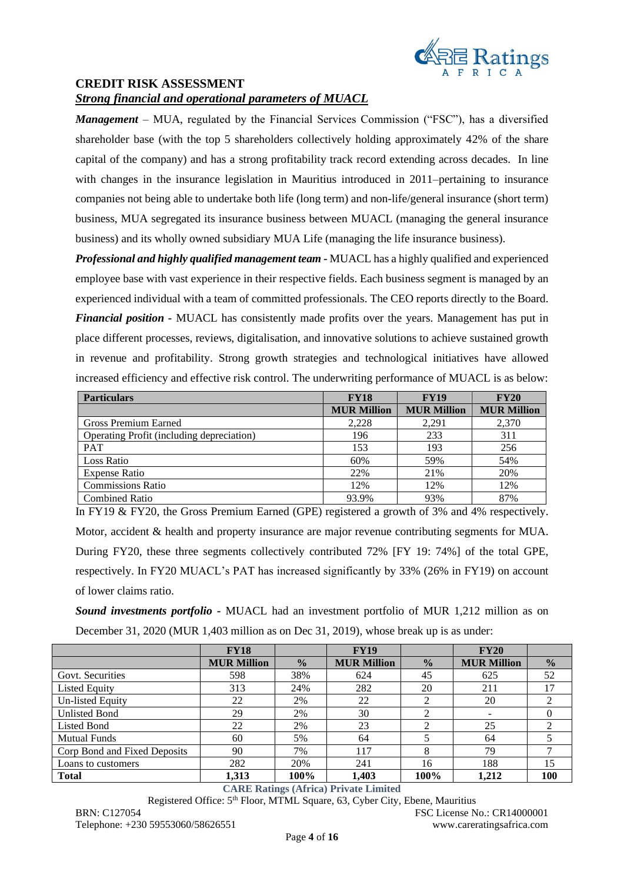

### **CREDIT RISK ASSESSMENT**

### *Strong financial and operational parameters of MUACL*

*Management* – MUA, regulated by the Financial Services Commission ("FSC"), has a diversified shareholder base (with the top 5 shareholders collectively holding approximately 42% of the share capital of the company) and has a strong profitability track record extending across decades. In line with changes in the insurance legislation in Mauritius introduced in 2011–pertaining to insurance companies not being able to undertake both life (long term) and non-life/general insurance (short term) business, MUA segregated its insurance business between MUACL (managing the general insurance business) and its wholly owned subsidiary MUA Life (managing the life insurance business).

*Professional and highly qualified management team -* MUACL has a highly qualified and experienced employee base with vast experience in their respective fields. Each business segment is managed by an experienced individual with a team of committed professionals. The CEO reports directly to the Board. *Financial position -* MUACL has consistently made profits over the years. Management has put in place different processes, reviews, digitalisation, and innovative solutions to achieve sustained growth in revenue and profitability. Strong growth strategies and technological initiatives have allowed increased efficiency and effective risk control. The underwriting performance of MUACL is as below:

| <b>Particulars</b>                        | <b>FY18</b>        | <b>FY19</b>        | <b>FY20</b>        |
|-------------------------------------------|--------------------|--------------------|--------------------|
|                                           | <b>MUR Million</b> | <b>MUR Million</b> | <b>MUR Million</b> |
| Gross Premium Earned                      | 2,228              | 2.291              | 2,370              |
| Operating Profit (including depreciation) | 196                | 233                | 311                |
| <b>PAT</b>                                | 153                | 193                | 256                |
| Loss Ratio                                | 60%                | 59%                | 54%                |
| <b>Expense Ratio</b>                      | 22%                | 21\%               | 20%                |
| <b>Commissions Ratio</b>                  | 12%                | 12%                | 12%                |
| <b>Combined Ratio</b>                     | 93.9%              | 93%                | 87%                |

In FY19 & FY20, the Gross Premium Earned (GPE) registered a growth of 3% and 4% respectively. Motor, accident & health and property insurance are major revenue contributing segments for MUA. During FY20, these three segments collectively contributed 72% [FY 19: 74%] of the total GPE, respectively. In FY20 MUACL's PAT has increased significantly by 33% (26% in FY19) on account of lower claims ratio.

*Sound investments portfolio -* MUACL had an investment portfolio of MUR 1,212 million as on December 31, 2020 (MUR 1,403 million as on Dec 31, 2019), whose break up is as under:

|                              | <b>FY18</b>        |               | <b>FY19</b>        |               | <b>FY20</b>        |               |
|------------------------------|--------------------|---------------|--------------------|---------------|--------------------|---------------|
|                              | <b>MUR Million</b> | $\frac{0}{0}$ | <b>MUR Million</b> | $\frac{1}{2}$ | <b>MUR Million</b> | $\frac{0}{0}$ |
| Govt. Securities             | 598                | 38%           | 624                | 45            | 625                | 52            |
| <b>Listed Equity</b>         | 313                | 24%           | 282                | 20            | 211                | 17            |
| <b>Un-listed Equity</b>      | 22                 | 2%            | 22                 | ◠             | 20                 |               |
| <b>Unlisted Bond</b>         | 29                 | 2%            | 30                 |               |                    |               |
| <b>Listed Bond</b>           | 22                 | 2%            | 23                 | ◠             | 25                 | ↑             |
| <b>Mutual Funds</b>          | 60                 | 5%            | 64                 |               | 64                 |               |
| Corp Bond and Fixed Deposits | 90                 | 7%            | 117                | 8             | 79                 |               |
| Loans to customers           | 282                | 20%           | 241                | 16            | 188                | 15            |
| <b>Total</b>                 | 1,313              | 100%          | 1.403              | 100%          | 1,212              | 100           |

**CARE Ratings (Africa) Private Limited**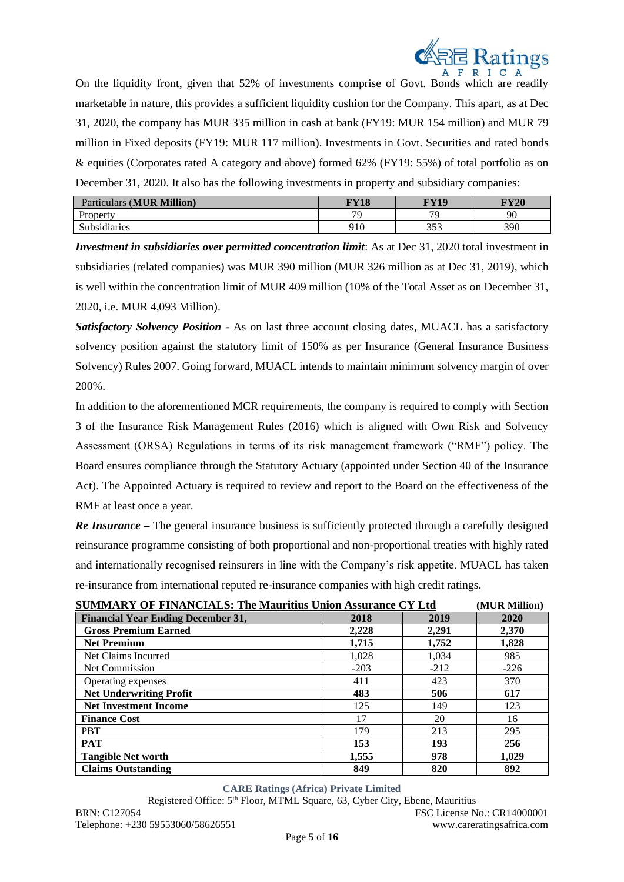

On the liquidity front, given that 52% of investments comprise of Govt. Bonds which are readily marketable in nature, this provides a sufficient liquidity cushion for the Company. This apart, as at Dec 31, 2020, the company has MUR 335 million in cash at bank (FY19: MUR 154 million) and MUR 79 million in Fixed deposits (FY19: MUR 117 million). Investments in Govt. Securities and rated bonds & equities (Corporates rated A category and above) formed 62% (FY19: 55%) of total portfolio as on December 31, 2020. It also has the following investments in property and subsidiary companies:

| <b>MUR Million</b><br>Particulars | $\mathbf{E} \mathbf{V}$ 10 | <b>FY19</b>    | FY20     |
|-----------------------------------|----------------------------|----------------|----------|
| Property                          | 70                         | 7 <sup>c</sup> | $\alpha$ |
| <b>Subsidiaries</b>               | 910                        | 252<br>JJJ     | 390      |

*Investment in subsidiaries over permitted concentration limit*: As at Dec 31, 2020 total investment in subsidiaries (related companies) was MUR 390 million (MUR 326 million as at Dec 31, 2019), which is well within the concentration limit of MUR 409 million (10% of the Total Asset as on December 31, 2020, i.e. MUR 4,093 Million).

*Satisfactory Solvency Position -* As on last three account closing dates, MUACL has a satisfactory solvency position against the statutory limit of 150% as per Insurance (General Insurance Business Solvency) Rules 2007. Going forward, MUACL intends to maintain minimum solvency margin of over 200%.

In addition to the aforementioned MCR requirements, the company is required to comply with Section 3 of the Insurance Risk Management Rules (2016) which is aligned with Own Risk and Solvency Assessment (ORSA) Regulations in terms of its risk management framework ("RMF") policy. The Board ensures compliance through the Statutory Actuary (appointed under Section 40 of the Insurance Act). The Appointed Actuary is required to review and report to the Board on the effectiveness of the RMF at least once a year.

*Re Insurance –* The general insurance business is sufficiently protected through a carefully designed reinsurance programme consisting of both proportional and non-proportional treaties with highly rated and internationally recognised reinsurers in line with the Company's risk appetite. MUACL has taken re-insurance from international reputed re-insurance companies with high credit ratings.

| <b>SUMMARY OF FINANCIALS: The Mauritius Union Assurance CY Ltd</b> | (MUR Million) |        |        |
|--------------------------------------------------------------------|---------------|--------|--------|
| <b>Financial Year Ending December 31,</b>                          | 2018          | 2019   | 2020   |
| <b>Gross Premium Earned</b>                                        | 2,228         | 2,291  | 2,370  |
| <b>Net Premium</b>                                                 | 1,715         | 1,752  | 1,828  |
| Net Claims Incurred                                                | 1,028         | 1,034  | 985    |
| Net Commission                                                     | $-203$        | $-212$ | $-226$ |
| Operating expenses                                                 | 411           | 423    | 370    |
| <b>Net Underwriting Profit</b>                                     | 483           | 506    | 617    |
| <b>Net Investment Income</b>                                       | 125           | 149    | 123    |
| <b>Finance Cost</b>                                                | 17            | 20     | 16     |
| <b>PBT</b>                                                         | 179           | 213    | 295    |
| <b>PAT</b>                                                         | 153           | 193    | 256    |
| <b>Tangible Net worth</b>                                          | 1,555         | 978    | 1.029  |
| <b>Claims Outstanding</b>                                          | 849           | 820    | 892    |

**CARE Ratings (Africa) Private Limited**

Registered Office: 5th Floor, MTML Square, 63, Cyber City, Ebene, Mauritius

BRN: C127054 FSC License No.: CR14000001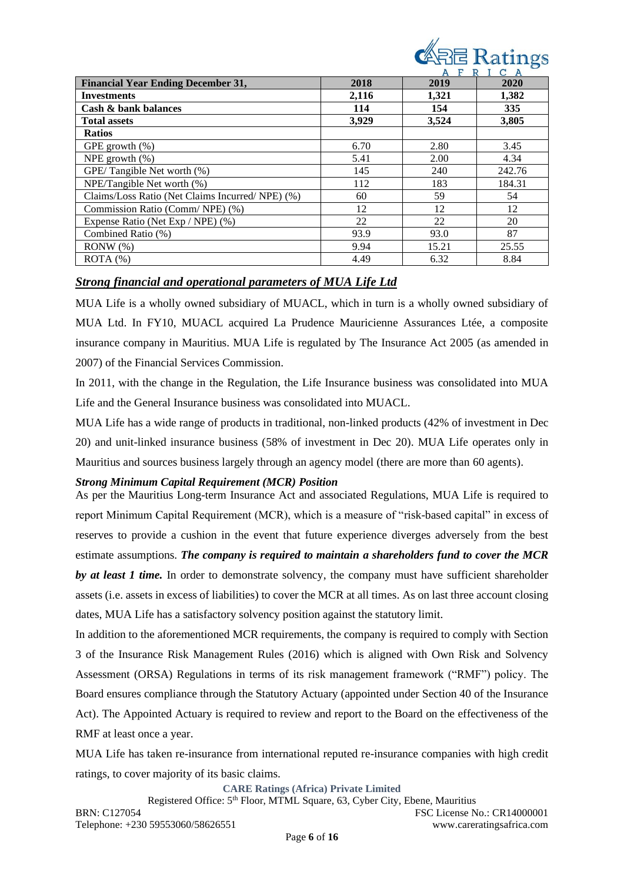| <b>ARE</b> Ratings |  |  |  |
|--------------------|--|--|--|
| AFRICA             |  |  |  |

|                                                 |       | F<br>R | C      |
|-------------------------------------------------|-------|--------|--------|
| <b>Financial Year Ending December 31,</b>       | 2018  | 2019   | 2020   |
| <b>Investments</b>                              | 2,116 | 1,321  | 1,382  |
| Cash & bank balances                            | 114   | 154    | 335    |
| <b>Total assets</b>                             | 3,929 | 3.524  | 3,805  |
| <b>Ratios</b>                                   |       |        |        |
| GPE growth $(\%)$                               | 6.70  | 2.80   | 3.45   |
| NPE growth $(\%)$                               | 5.41  | 2.00   | 4.34   |
| GPE/Tangible Net worth (%)                      | 145   | 240    | 242.76 |
| NPE/Tangible Net worth (%)                      | 112   | 183    | 184.31 |
| Claims/Loss Ratio (Net Claims Incurred/NPE) (%) | 60    | 59     | 54     |
| Commission Ratio (Comm/NPE) (%)                 | 12    | 12     | 12     |
| Expense Ratio (Net Exp / NPE) (%)               | 22    | 22     | 20     |
| Combined Ratio (%)                              | 93.9  | 93.0   | 87     |
| RONW(%)                                         | 9.94  | 15.21  | 25.55  |
| ROTA(%)                                         | 4.49  | 6.32   | 8.84   |

## *Strong financial and operational parameters of MUA Life Ltd*

MUA Life is a wholly owned subsidiary of MUACL, which in turn is a wholly owned subsidiary of MUA Ltd. In FY10, MUACL acquired La Prudence Mauricienne Assurances Ltée, a composite insurance company in Mauritius. MUA Life is regulated by The Insurance Act 2005 (as amended in 2007) of the Financial Services Commission.

In 2011, with the change in the Regulation, the Life Insurance business was consolidated into MUA Life and the General Insurance business was consolidated into MUACL.

MUA Life has a wide range of products in traditional, non-linked products (42% of investment in Dec 20) and unit-linked insurance business (58% of investment in Dec 20). MUA Life operates only in Mauritius and sources business largely through an agency model (there are more than 60 agents).

### *Strong Minimum Capital Requirement (MCR) Position*

As per the Mauritius Long-term Insurance Act and associated Regulations, MUA Life is required to report Minimum Capital Requirement (MCR), which is a measure of "risk-based capital" in excess of reserves to provide a cushion in the event that future experience diverges adversely from the best estimate assumptions. *The company is required to maintain a shareholders fund to cover the MCR by at least 1 time.* In order to demonstrate solvency, the company must have sufficient shareholder assets (i.e. assets in excess of liabilities) to cover the MCR at all times. As on last three account closing dates, MUA Life has a satisfactory solvency position against the statutory limit.

In addition to the aforementioned MCR requirements, the company is required to comply with Section 3 of the Insurance Risk Management Rules (2016) which is aligned with Own Risk and Solvency Assessment (ORSA) Regulations in terms of its risk management framework ("RMF") policy. The Board ensures compliance through the Statutory Actuary (appointed under Section 40 of the Insurance Act). The Appointed Actuary is required to review and report to the Board on the effectiveness of the RMF at least once a year.

MUA Life has taken re-insurance from international reputed re-insurance companies with high credit ratings, to cover majority of its basic claims.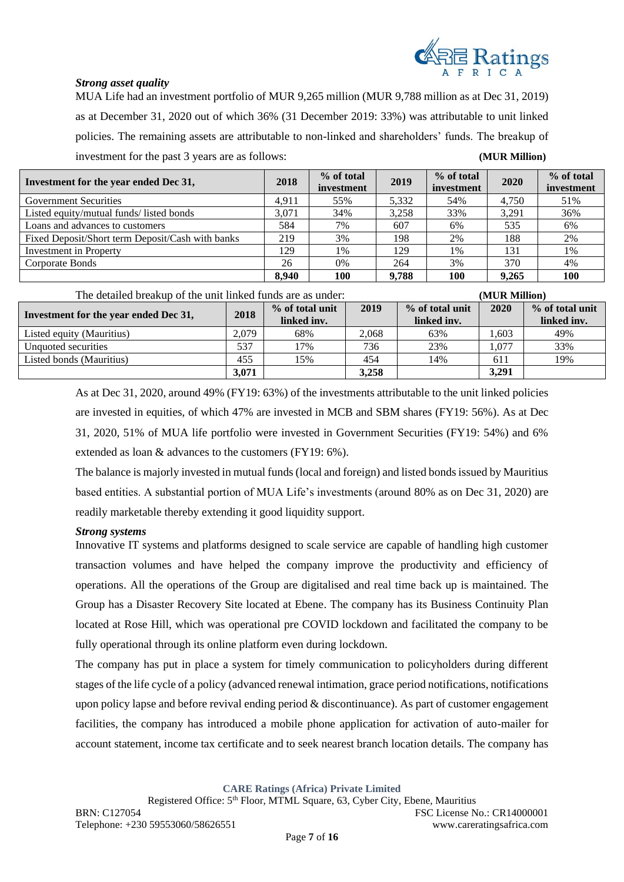

### *Strong asset quality*

MUA Life had an investment portfolio of MUR 9,265 million (MUR 9,788 million as at Dec 31, 2019) as at December 31, 2020 out of which 36% (31 December 2019: 33%) was attributable to unit linked policies. The remaining assets are attributable to non-linked and shareholders' funds. The breakup of investment for the past 3 years are as follows: **(MUR Million)**

| Investment for the year ended Dec 31,            | 2018  | % of total<br>investment | 2019  | % of total<br>investment | 2020  | % of total<br>investment |
|--------------------------------------------------|-------|--------------------------|-------|--------------------------|-------|--------------------------|
| <b>Government Securities</b>                     | 4.911 | 55%                      | 5.332 | 54%                      | 4.750 | 51%                      |
| Listed equity/mutual funds/ listed bonds         | 3.071 | 34%                      | 3,258 | 33%                      | 3.291 | 36%                      |
| Loans and advances to customers                  | 584   | 7%                       | 607   | 6%                       | 535   | 6%                       |
| Fixed Deposit/Short term Deposit/Cash with banks | 219   | 3%                       | 198   | 2%                       | 188   | 2%                       |
| <b>Investment in Property</b>                    | 129   | 1%                       | 129   | 1%                       | 131   | $1\%$                    |
| Corporate Bonds                                  | 26    | $0\%$                    | 264   | 3%                       | 370   | 4%                       |
|                                                  | 8.940 | 100                      | 9.788 | 100                      | 9.265 | 100                      |

| The detailed breakup of the unit linked funds are as under: |       |                                |       |                                | (MUR Million) |                                |
|-------------------------------------------------------------|-------|--------------------------------|-------|--------------------------------|---------------|--------------------------------|
| Investment for the year ended Dec 31,                       | 2018  | % of total unit<br>linked inv. | 2019  | % of total unit<br>linked inv. | 2020          | % of total unit<br>linked inv. |
| Listed equity (Mauritius)                                   | 2.079 | 68%                            | 2.068 | 63%                            | .603          | 49%                            |
| Unquoted securities                                         | 537   | 17%                            | 736   | 23%                            | 1.077         | 33%                            |
| Listed bonds (Mauritius)                                    | 455   | 15%                            | 454   | 14%                            | 611           | 19%                            |
|                                                             | 3,071 |                                | 3,258 |                                | 3,291         |                                |

As at Dec 31, 2020, around 49% (FY19: 63%) of the investments attributable to the unit linked policies are invested in equities, of which 47% are invested in MCB and SBM shares (FY19: 56%). As at Dec 31, 2020, 51% of MUA life portfolio were invested in Government Securities (FY19: 54%) and 6% extended as loan & advances to the customers (FY19: 6%).

The balance is majorly invested in mutual funds (local and foreign) and listed bonds issued by Mauritius based entities. A substantial portion of MUA Life's investments (around 80% as on Dec 31, 2020) are readily marketable thereby extending it good liquidity support.

### *Strong systems*

Innovative IT systems and platforms designed to scale service are capable of handling high customer transaction volumes and have helped the company improve the productivity and efficiency of operations. All the operations of the Group are digitalised and real time back up is maintained. The Group has a Disaster Recovery Site located at Ebene. The company has its Business Continuity Plan located at Rose Hill, which was operational pre COVID lockdown and facilitated the company to be fully operational through its online platform even during lockdown.

The company has put in place a system for timely communication to policyholders during different stages of the life cycle of a policy (advanced renewal intimation, grace period notifications, notifications upon policy lapse and before revival ending period & discontinuance). As part of customer engagement facilities, the company has introduced a mobile phone application for activation of auto-mailer for account statement, income tax certificate and to seek nearest branch location details. The company has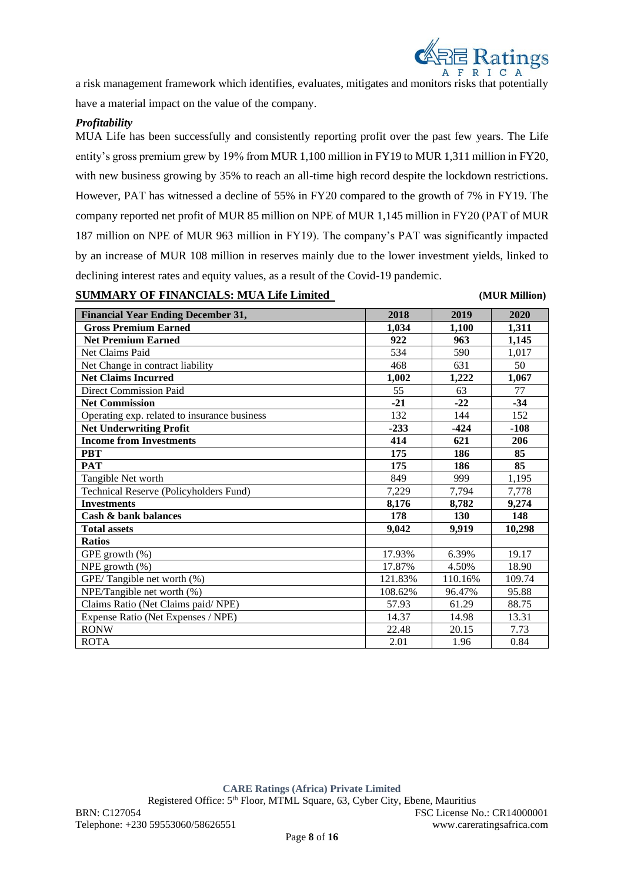

a risk management framework which identifies, evaluates, mitigates and monitors risks that potentially have a material impact on the value of the company.

### *Profitability*

MUA Life has been successfully and consistently reporting profit over the past few years. The Life entity's gross premium grew by 19% from MUR 1,100 million in FY19 to MUR 1,311 million in FY20, with new business growing by 35% to reach an all-time high record despite the lockdown restrictions. However, PAT has witnessed a decline of 55% in FY20 compared to the growth of 7% in FY19. The company reported net profit of MUR 85 million on NPE of MUR 1,145 million in FY20 (PAT of MUR 187 million on NPE of MUR 963 million in FY19). The company's PAT was significantly impacted by an increase of MUR 108 million in reserves mainly due to the lower investment yields, linked to declining interest rates and equity values, as a result of the Covid-19 pandemic.

### **SUMMARY OF FINANCIALS: MUA Life Limited (MUR Million)**

| <b>Financial Year Ending December 31,</b>    | 2018    | 2019    | 2020   |
|----------------------------------------------|---------|---------|--------|
| <b>Gross Premium Earned</b>                  | 1,034   | 1,100   | 1,311  |
| <b>Net Premium Earned</b>                    | 922     | 963     | 1,145  |
| Net Claims Paid                              | 534     | 590     | 1,017  |
| Net Change in contract liability             | 468     | 631     | 50     |
| <b>Net Claims Incurred</b>                   | 1,002   | 1,222   | 1,067  |
| <b>Direct Commission Paid</b>                | 55      | 63      | 77     |
| <b>Net Commission</b>                        | $-21$   | $-22$   | $-34$  |
| Operating exp. related to insurance business | 132     | 144     | 152    |
| <b>Net Underwriting Profit</b>               | $-233$  | $-424$  | $-108$ |
| <b>Income from Investments</b>               | 414     | 621     | 206    |
| <b>PBT</b>                                   | 175     | 186     | 85     |
| <b>PAT</b>                                   | 175     | 186     | 85     |
| Tangible Net worth                           | 849     | 999     | 1,195  |
| Technical Reserve (Policyholders Fund)       | 7,229   | 7,794   | 7,778  |
| <b>Investments</b>                           | 8,176   | 8,782   | 9,274  |
| Cash & bank balances                         | 178     | 130     | 148    |
| <b>Total assets</b>                          | 9,042   | 9.919   | 10,298 |
| <b>Ratios</b>                                |         |         |        |
| GPE growth (%)                               | 17.93%  | 6.39%   | 19.17  |
| NPE growth $(\%)$                            | 17.87%  | 4.50%   | 18.90  |
| GPE/Tangible net worth (%)                   | 121.83% | 110.16% | 109.74 |
| NPE/Tangible net worth (%)                   | 108.62% | 96.47%  | 95.88  |
| Claims Ratio (Net Claims paid/ NPE)          | 57.93   | 61.29   | 88.75  |
| Expense Ratio (Net Expenses / NPE)           | 14.37   | 14.98   | 13.31  |
| <b>RONW</b>                                  | 22.48   | 20.15   | 7.73   |
| <b>ROTA</b>                                  | 2.01    | 1.96    | 0.84   |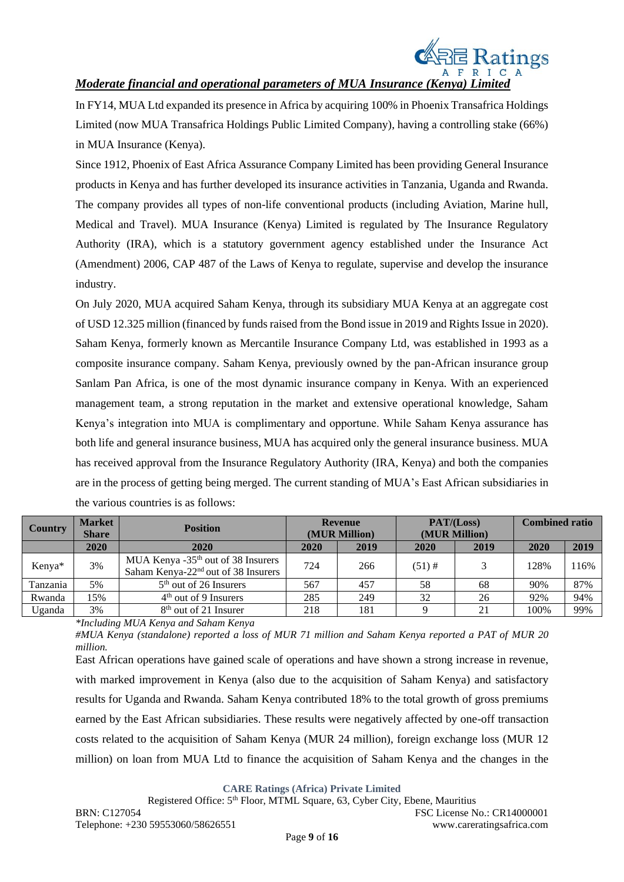

## *Moderate financial and operational parameters of MUA Insurance (Kenya) Limited*

In FY14, MUA Ltd expanded its presence in Africa by acquiring 100% in Phoenix Transafrica Holdings Limited (now MUA Transafrica Holdings Public Limited Company), having a controlling stake (66%) in MUA Insurance (Kenya).

Since 1912, Phoenix of East Africa Assurance Company Limited has been providing General Insurance products in Kenya and has further developed its insurance activities in Tanzania, Uganda and Rwanda. The company provides all types of non-life conventional products (including Aviation, Marine hull, Medical and Travel). MUA Insurance (Kenya) Limited is regulated by The Insurance Regulatory Authority (IRA), which is a statutory government agency established under the Insurance Act (Amendment) 2006, CAP 487 of the Laws of Kenya to regulate, supervise and develop the insurance industry.

On July 2020, MUA acquired Saham Kenya, through its subsidiary MUA Kenya at an aggregate cost of USD 12.325 million (financed by funds raised from the Bond issue in 2019 and Rights Issue in 2020). Saham Kenya, formerly known as Mercantile Insurance Company Ltd, was established in 1993 as a composite insurance company. Saham Kenya, previously owned by the pan-African insurance group Sanlam Pan Africa, is one of the most dynamic insurance company in Kenya. With an experienced management team, a strong reputation in the market and extensive operational knowledge, Saham Kenya's integration into MUA is complimentary and opportune. While Saham Kenya assurance has both life and general insurance business, MUA has acquired only the general insurance business. MUA has received approval from the Insurance Regulatory Authority (IRA, Kenya) and both the companies are in the process of getting being merged. The current standing of MUA's East African subsidiaries in the various countries is as follows:

| <b>Country</b> | <b>Market</b><br><b>Share</b> | <b>Position</b>                                                                |      | <b>Revenue</b><br>(MUR Million) | PAT/(Loss)<br>(MUR Million) |               | <b>Combined ratio</b> |      |
|----------------|-------------------------------|--------------------------------------------------------------------------------|------|---------------------------------|-----------------------------|---------------|-----------------------|------|
|                | 2020                          | 2020                                                                           | 2020 | 2019                            | 2020                        | 2019          | 2020                  | 2019 |
| Kenya*         | 3%                            | MUA Kenya $-35th$ out of 38 Insurers<br>Saham Kenya- $22nd$ out of 38 Insurers | 724  | 266                             | $(51)$ #                    | $\mathcal{E}$ | 128%                  | 116% |
| Tanzania       | 5%                            | $5th$ out of 26 Insurers                                                       | 567  | 457                             | 58                          | 68            | 90%                   | 87%  |
| Rwanda         | 15%                           | $4th$ out of 9 Insurers                                                        | 285  | 249                             | 32                          | 26            | 92%                   | 94%  |
| Uganda         | 3%                            | 8 <sup>th</sup> out of 21 Insurer                                              | 218  | 181                             |                             | 21            | 100%                  | 99%  |

*\*Including MUA Kenya and Saham Kenya* 

*#MUA Kenya (standalone) reported a loss of MUR 71 million and Saham Kenya reported a PAT of MUR 20 million.*

East African operations have gained scale of operations and have shown a strong increase in revenue, with marked improvement in Kenya (also due to the acquisition of Saham Kenya) and satisfactory results for Uganda and Rwanda. Saham Kenya contributed 18% to the total growth of gross premiums earned by the East African subsidiaries. These results were negatively affected by one-off transaction costs related to the acquisition of Saham Kenya (MUR 24 million), foreign exchange loss (MUR 12 million) on loan from MUA Ltd to finance the acquisition of Saham Kenya and the changes in the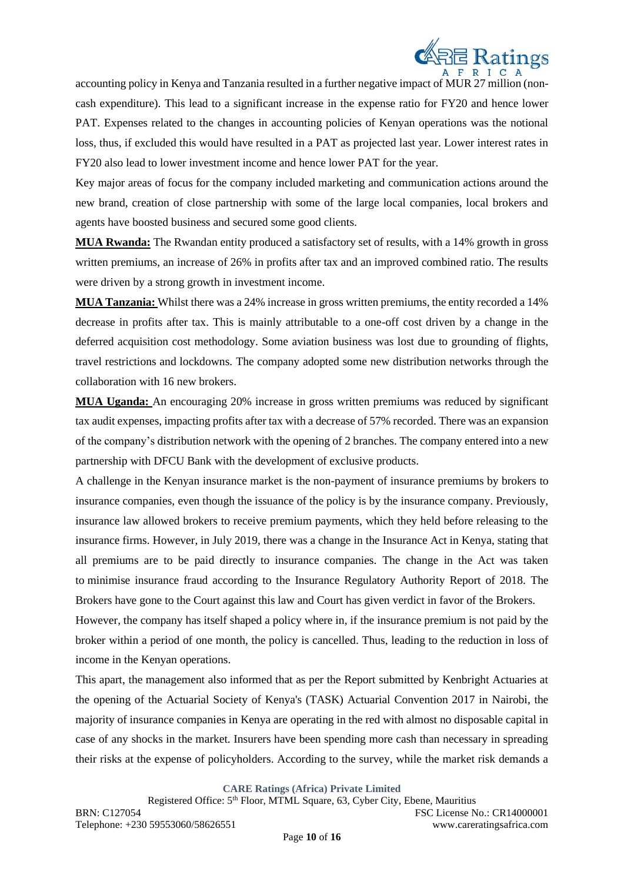

accounting policy in Kenya and Tanzania resulted in a further negative impact of MUR 27 million (noncash expenditure). This lead to a significant increase in the expense ratio for FY20 and hence lower PAT. Expenses related to the changes in accounting policies of Kenyan operations was the notional loss, thus, if excluded this would have resulted in a PAT as projected last year. Lower interest rates in FY20 also lead to lower investment income and hence lower PAT for the year.

Key major areas of focus for the company included marketing and communication actions around the new brand, creation of close partnership with some of the large local companies, local brokers and agents have boosted business and secured some good clients.

**MUA Rwanda:** The Rwandan entity produced a satisfactory set of results, with a 14% growth in gross written premiums, an increase of 26% in profits after tax and an improved combined ratio. The results were driven by a strong growth in investment income.

**MUA Tanzania:** Whilst there was a 24% increase in gross written premiums, the entity recorded a 14% decrease in profits after tax. This is mainly attributable to a one-off cost driven by a change in the deferred acquisition cost methodology. Some aviation business was lost due to grounding of flights, travel restrictions and lockdowns. The company adopted some new distribution networks through the collaboration with 16 new brokers.

**MUA Uganda:** An encouraging 20% increase in gross written premiums was reduced by significant tax audit expenses, impacting profits after tax with a decrease of 57% recorded. There was an expansion of the company's distribution network with the opening of 2 branches. The company entered into a new partnership with DFCU Bank with the development of exclusive products.

A challenge in the Kenyan insurance market is the non-payment of insurance premiums by brokers to insurance companies, even though the issuance of the policy is by the insurance company. Previously, insurance law allowed brokers to receive premium payments, which they held before releasing to the insurance firms. However, in July 2019, there was a change in the Insurance Act in Kenya, stating that all premiums are to be paid directly to insurance companies. The change in the Act was taken to minimise insurance fraud according to the Insurance Regulatory Authority Report of 2018. The Brokers have gone to the Court against this law and Court has given verdict in favor of the Brokers.

However, the company has itself shaped a policy where in, if the insurance premium is not paid by the broker within a period of one month, the policy is cancelled. Thus, leading to the reduction in loss of income in the Kenyan operations.

This apart, the management also informed that as per the Report submitted by Kenbright Actuaries at the opening of the Actuarial Society of Kenya's (TASK) Actuarial Convention 2017 in Nairobi, the majority of insurance companies in Kenya are operating in the red with almost no disposable capital in case of any shocks in the market. Insurers have been spending more cash than necessary in spreading their risks at the expense of policyholders. According to the survey, while the market risk demands a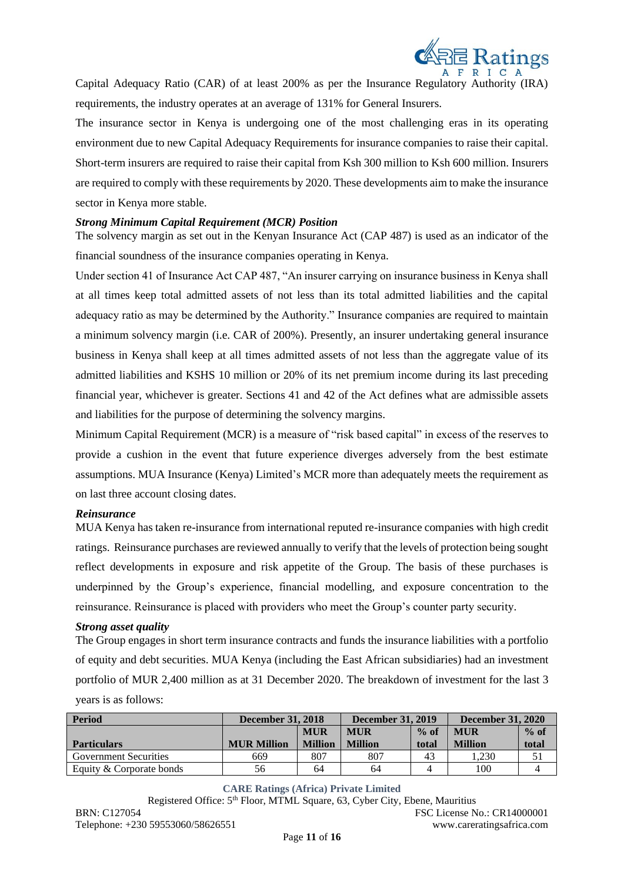

Capital Adequacy Ratio (CAR) of at least 200% as per the Insurance Regulatory Authority (IRA) requirements, the industry operates at an average of 131% for General Insurers.

The insurance sector in Kenya is undergoing one of the most challenging eras in its operating environment due to new Capital Adequacy Requirements for insurance companies to raise their capital. Short-term insurers are required to raise their capital from Ksh 300 million to Ksh 600 million. Insurers are required to comply with these requirements by 2020. These developments aim to make the insurance sector in Kenya more stable.

#### *Strong Minimum Capital Requirement (MCR) Position*

The solvency margin as set out in the Kenyan Insurance Act (CAP 487) is used as an indicator of the financial soundness of the insurance companies operating in Kenya.

Under section 41 of Insurance Act CAP 487, "An insurer carrying on insurance business in Kenya shall at all times keep total admitted assets of not less than its total admitted liabilities and the capital adequacy ratio as may be determined by the Authority." Insurance companies are required to maintain a minimum solvency margin (i.e. CAR of 200%). Presently, an insurer undertaking general insurance business in Kenya shall keep at all times admitted assets of not less than the aggregate value of its admitted liabilities and KSHS 10 million or 20% of its net premium income during its last preceding financial year, whichever is greater. Sections 41 and 42 of the Act defines what are admissible assets and liabilities for the purpose of determining the solvency margins.

Minimum Capital Requirement (MCR) is a measure of "risk based capital" in excess of the reserves to provide a cushion in the event that future experience diverges adversely from the best estimate assumptions. MUA Insurance (Kenya) Limited's MCR more than adequately meets the requirement as on last three account closing dates.

### *Reinsurance*

MUA Kenya has taken re-insurance from international reputed re-insurance companies with high credit ratings. Reinsurance purchases are reviewed annually to verify that the levels of protection being sought reflect developments in exposure and risk appetite of the Group. The basis of these purchases is underpinned by the Group's experience, financial modelling, and exposure concentration to the reinsurance. Reinsurance is placed with providers who meet the Group's counter party security.

#### *Strong asset quality*

The Group engages in short term insurance contracts and funds the insurance liabilities with a portfolio of equity and debt securities. MUA Kenya (including the East African subsidiaries) had an investment portfolio of MUR 2,400 million as at 31 December 2020. The breakdown of investment for the last 3 years is as follows:

| <b>Period</b>                | <b>December 31, 2018</b> |                | <b>December 31, 2019</b> |         | <b>December 31, 2020</b> |       |
|------------------------------|--------------------------|----------------|--------------------------|---------|--------------------------|-------|
|                              | <b>MUR</b>               |                | <b>MUR</b>               | $\%$ of | <b>MUR</b>               |       |
| <b>Particulars</b>           | <b>MUR Million</b>       | <b>Million</b> | <b>Million</b>           | total   | <b>Million</b>           | total |
| <b>Government Securities</b> | 669                      | 807            | 807                      | 43      | .230                     |       |
| Equity & Corporate bonds     | 56                       | 64             | 64                       |         | 100                      |       |

**CARE Ratings (Africa) Private Limited**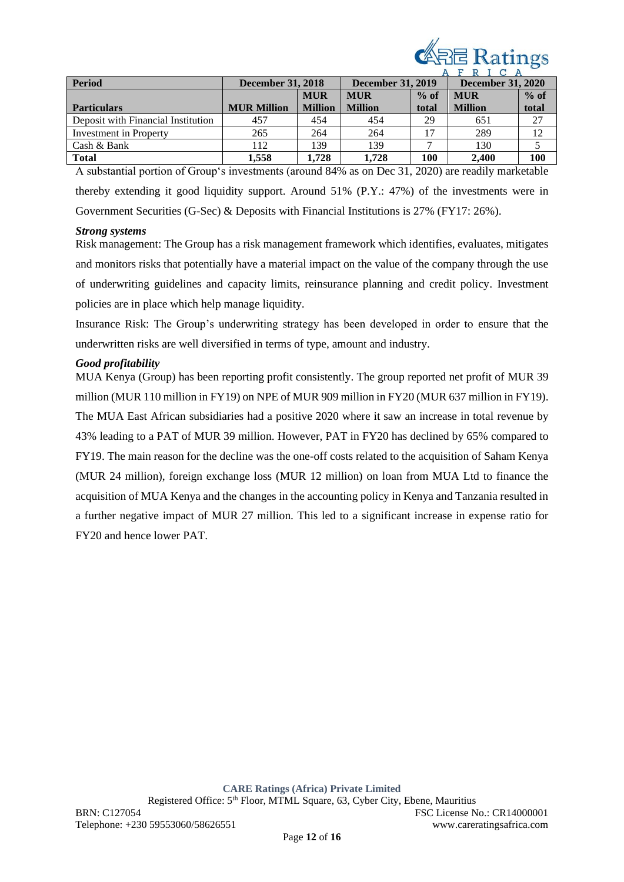

| <b>Period</b>                      | <b>December 31, 2018</b> |                | <b>December 31, 2019</b> | $\mathbf{r}$ | <b>December 31, 2020</b> |        |
|------------------------------------|--------------------------|----------------|--------------------------|--------------|--------------------------|--------|
|                                    |                          | <b>MUR</b>     | <b>MUR</b>               | $%$ of       | <b>MUR</b>               | $%$ of |
| <b>Particulars</b>                 | <b>MUR Million</b>       | <b>Million</b> | <b>Million</b>           | total        | <b>Million</b>           | total  |
| Deposit with Financial Institution | 457                      | 454            | 454                      | 29           | 651                      | 27     |
| Investment in Property             | 265                      | 264            | 264                      | 17           | 289                      | 12     |
| Cash & Bank                        | 112                      | 139            | 139                      |              | 130                      |        |
| <b>Total</b>                       | 1.558                    | 1.728          | 1.728                    | 100          | 2.400                    | 100    |

A substantial portion of Group's investments (around 84% as on Dec 31, 2020) are readily marketable thereby extending it good liquidity support. Around 51% (P.Y.: 47%) of the investments were in Government Securities (G-Sec) & Deposits with Financial Institutions is 27% (FY17: 26%).

### *Strong systems*

Risk management: The Group has a risk management framework which identifies, evaluates, mitigates and monitors risks that potentially have a material impact on the value of the company through the use of underwriting guidelines and capacity limits, reinsurance planning and credit policy. Investment policies are in place which help manage liquidity.

Insurance Risk: The Group's underwriting strategy has been developed in order to ensure that the underwritten risks are well diversified in terms of type, amount and industry.

### *Good profitability*

MUA Kenya (Group) has been reporting profit consistently. The group reported net profit of MUR 39 million (MUR 110 million in FY19) on NPE of MUR 909 million in FY20 (MUR 637 million in FY19). The MUA East African subsidiaries had a positive 2020 where it saw an increase in total revenue by 43% leading to a PAT of MUR 39 million. However, PAT in FY20 has declined by 65% compared to FY19. The main reason for the decline was the one-off costs related to the acquisition of Saham Kenya (MUR 24 million), foreign exchange loss (MUR 12 million) on loan from MUA Ltd to finance the acquisition of MUA Kenya and the changes in the accounting policy in Kenya and Tanzania resulted in a further negative impact of MUR 27 million. This led to a significant increase in expense ratio for FY20 and hence lower PAT.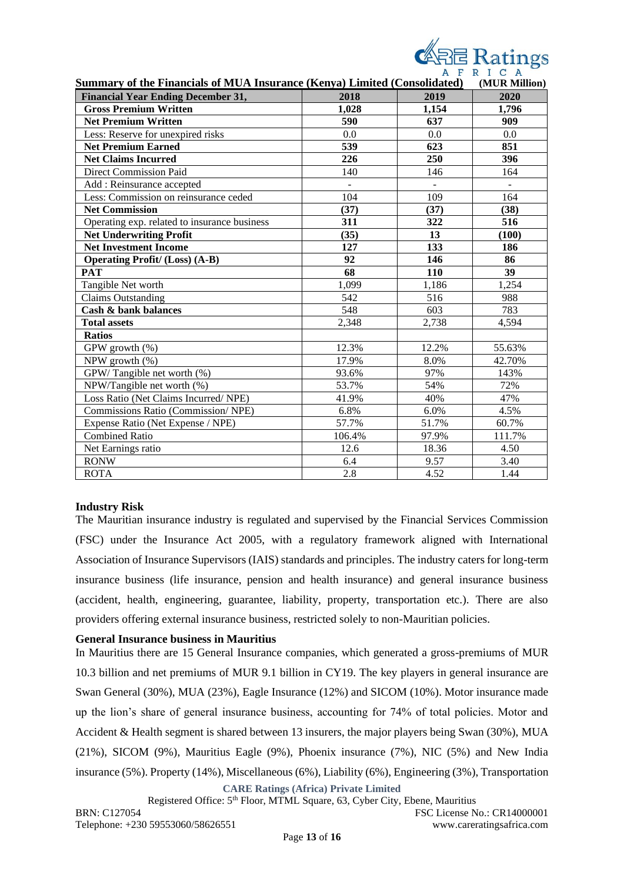

| <b>Summary of the Financials of MUA Insurance (Kenya) Limited (Consolidated)</b> |                |                | (MUR Million) |  |  |
|----------------------------------------------------------------------------------|----------------|----------------|---------------|--|--|
| <b>Financial Year Ending December 31,</b>                                        | 2018           | 2019           | 2020          |  |  |
| <b>Gross Premium Written</b>                                                     | 1,028          | 1,154          | 1,796         |  |  |
| <b>Net Premium Written</b>                                                       | 590            | 637            | 909           |  |  |
| Less: Reserve for unexpired risks                                                | 0.0            | 0.0            | 0.0           |  |  |
| <b>Net Premium Earned</b>                                                        | 539            | 623            | 851           |  |  |
| <b>Net Claims Incurred</b>                                                       | 226            | 250            | 396           |  |  |
| <b>Direct Commission Paid</b>                                                    | 140            | 146            | 164           |  |  |
| Add: Reinsurance accepted                                                        | $\overline{a}$ | $\overline{a}$ | $\mathbf{r}$  |  |  |
| Less: Commission on reinsurance ceded                                            | 104            | 109            | 164           |  |  |
| <b>Net Commission</b>                                                            | (37)           | (37)           | (38)          |  |  |
| Operating exp. related to insurance business                                     | 311            | 322            | 516           |  |  |
| <b>Net Underwriting Profit</b>                                                   | (35)           | 13             | (100)         |  |  |
| <b>Net Investment Income</b>                                                     | 127            | 133            | 186           |  |  |
| <b>Operating Profit/ (Loss) (A-B)</b>                                            | 92             | 146            | 86            |  |  |
| <b>PAT</b>                                                                       | 68             | 110            | 39            |  |  |
| Tangible Net worth                                                               | 1,099          | 1,186          | 1,254         |  |  |
| <b>Claims Outstanding</b>                                                        | 542            | 516            | 988           |  |  |
| Cash & bank balances                                                             | 548            | 603            | 783           |  |  |
| <b>Total assets</b>                                                              | 2,348          | 2,738          | 4,594         |  |  |
| <b>Ratios</b>                                                                    |                |                |               |  |  |
| GPW growth (%)                                                                   | 12.3%          | 12.2%          | 55.63%        |  |  |
| NPW growth (%)                                                                   | 17.9%          | 8.0%           | 42.70%        |  |  |
| GPW/Tangible net worth (%)                                                       | 93.6%          | 97%            | 143%          |  |  |
| NPW/Tangible net worth (%)                                                       | 53.7%          | 54%            | 72%           |  |  |
| Loss Ratio (Net Claims Incurred/ NPE)                                            | 41.9%          | 40%            | 47%           |  |  |
| Commissions Ratio (Commission/NPE)                                               | 6.8%           | 6.0%           | 4.5%          |  |  |
| Expense Ratio (Net Expense / NPE)                                                | 57.7%          | 51.7%          | 60.7%         |  |  |
| <b>Combined Ratio</b>                                                            | 106.4%         | 97.9%          | 111.7%        |  |  |
| Net Earnings ratio                                                               | 12.6           | 18.36          | 4.50          |  |  |
| <b>RONW</b>                                                                      | 6.4            | 9.57           | 3.40          |  |  |
| <b>ROTA</b>                                                                      | 2.8            | 4.52           | 1.44          |  |  |

### **Industry Risk**

The Mauritian insurance industry is regulated and supervised by the Financial Services Commission (FSC) under the Insurance Act 2005, with a regulatory framework aligned with International Association of Insurance Supervisors (IAIS) standards and principles. The industry caters for long-term insurance business (life insurance, pension and health insurance) and general insurance business (accident, health, engineering, guarantee, liability, property, transportation etc.). There are also providers offering external insurance business, restricted solely to non-Mauritian policies.

### **General Insurance business in Mauritius**

**CARE Ratings (Africa) Private Limited** In Mauritius there are 15 General Insurance companies, which generated a gross-premiums of MUR 10.3 billion and net premiums of MUR 9.1 billion in CY19. The key players in general insurance are Swan General (30%), MUA (23%), Eagle Insurance (12%) and SICOM (10%). Motor insurance made up the lion's share of general insurance business, accounting for 74% of total policies. Motor and Accident & Health segment is shared between 13 insurers, the major players being Swan (30%), MUA (21%), SICOM (9%), Mauritius Eagle (9%), Phoenix insurance (7%), NIC (5%) and New India insurance (5%). Property (14%), Miscellaneous (6%), Liability (6%), Engineering (3%), Transportation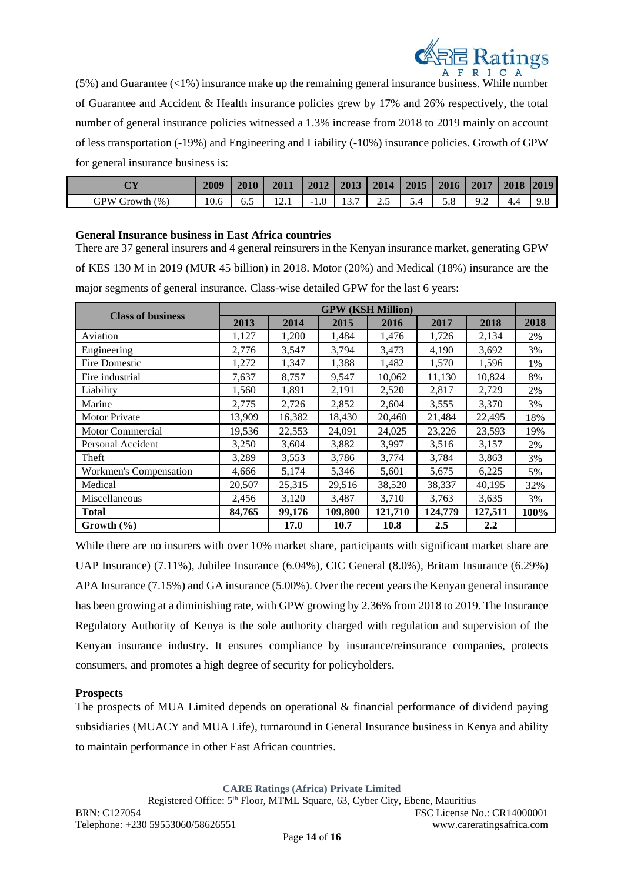

 $(5\%)$  and Guarantee  $(\leq 1\%)$  insurance make up the remaining general insurance business. While number of Guarantee and Accident & Health insurance policies grew by 17% and 26% respectively, the total number of general insurance policies witnessed a 1.3% increase from 2018 to 2019 mainly on account of less transportation (-19%) and Engineering and Liability (-10%) insurance policies. Growth of GPW for general insurance business is:

| $\gamma$ V           | 2009           | 2010 | <b>2011</b> | 2012          | 2013      | 2014 | 2015 | 2016 | 2017 | 2018 | 2019 |
|----------------------|----------------|------|-------------|---------------|-----------|------|------|------|------|------|------|
| GPW<br>(0)<br>Growth | $\sim$<br>10.6 | 6.J  | 1/4.1       | 1.0<br>$\sim$ | -<br>19.1 | ر ب  | D.4  | J.O  | ے .  | т.−  | 2.0  |

### **General Insurance business in East Africa countries**

There are 37 general insurers and 4 general reinsurers in the Kenyan insurance market, generating GPW of KES 130 M in 2019 (MUR 45 billion) in 2018. Motor (20%) and Medical (18%) insurance are the major segments of general insurance. Class-wise detailed GPW for the last 6 years:

| <b>Class of business</b> |        | <b>GPW (KSH Million)</b> |         |         |         |         |      |  |  |
|--------------------------|--------|--------------------------|---------|---------|---------|---------|------|--|--|
|                          | 2013   | 2014                     | 2015    | 2016    | 2017    | 2018    | 2018 |  |  |
| Aviation                 | 1,127  | 1,200                    | 1,484   | 1,476   | 1,726   | 2,134   | 2%   |  |  |
| Engineering              | 2,776  | 3,547                    | 3,794   | 3,473   | 4,190   | 3,692   | 3%   |  |  |
| <b>Fire Domestic</b>     | 1,272  | 1,347                    | 1,388   | 1,482   | 1,570   | 1,596   | 1%   |  |  |
| Fire industrial          | 7,637  | 8,757                    | 9,547   | 10,062  | 11,130  | 10,824  | 8%   |  |  |
| Liability                | 1,560  | 1,891                    | 2,191   | 2,520   | 2,817   | 2,729   | 2%   |  |  |
| Marine                   | 2,775  | 2,726                    | 2,852   | 2,604   | 3,555   | 3,370   | 3%   |  |  |
| <b>Motor Private</b>     | 13,909 | 16,382                   | 18,430  | 20,460  | 21,484  | 22,495  | 18%  |  |  |
| Motor Commercial         | 19,536 | 22,553                   | 24,091  | 24,025  | 23,226  | 23,593  | 19%  |  |  |
| Personal Accident        | 3,250  | 3,604                    | 3,882   | 3,997   | 3,516   | 3,157   | 2%   |  |  |
| Theft                    | 3,289  | 3,553                    | 3,786   | 3,774   | 3,784   | 3,863   | 3%   |  |  |
| Workmen's Compensation   | 4,666  | 5,174                    | 5,346   | 5,601   | 5,675   | 6,225   | 5%   |  |  |
| Medical                  | 20,507 | 25,315                   | 29,516  | 38,520  | 38,337  | 40,195  | 32%  |  |  |
| Miscellaneous            | 2,456  | 3,120                    | 3,487   | 3,710   | 3,763   | 3,635   | 3%   |  |  |
| <b>Total</b>             | 84,765 | 99,176                   | 109,800 | 121,710 | 124,779 | 127,511 | 100% |  |  |
| Growth $(\% )$           |        | 17.0                     | 10.7    | 10.8    | 2.5     | 2.2     |      |  |  |

While there are no insurers with over 10% market share, participants with significant market share are UAP Insurance) (7.11%), Jubilee Insurance (6.04%), CIC General (8.0%), Britam Insurance (6.29%) APA Insurance (7.15%) and GA insurance (5.00%). Over the recent years the Kenyan general insurance has been growing at a diminishing rate, with GPW growing by 2.36% from 2018 to 2019. The Insurance Regulatory Authority of Kenya is the sole authority charged with regulation and supervision of the Kenyan insurance industry. It ensures compliance by insurance/reinsurance companies, protects consumers, and promotes a high degree of security for policyholders.

### **Prospects**

The prospects of MUA Limited depends on operational & financial performance of dividend paying subsidiaries (MUACY and MUA Life), turnaround in General Insurance business in Kenya and ability to maintain performance in other East African countries.

**CARE Ratings (Africa) Private Limited**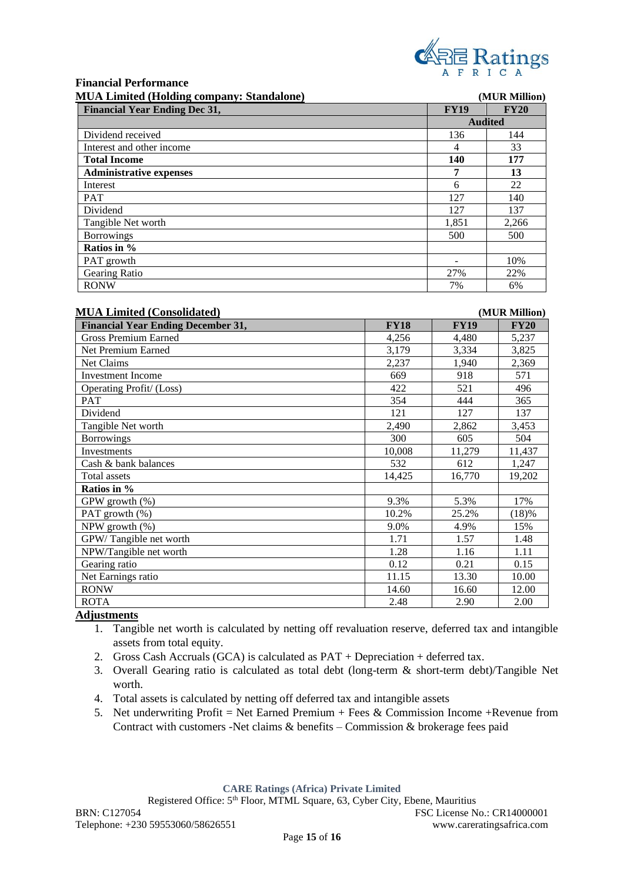

#### **Financial Performance MUA Limited (Holding company: Standalone) (MUR Million)**

| MUA Lillined (Holding company: Standalone) |             | (MUR MIIII0n)  |
|--------------------------------------------|-------------|----------------|
| <b>Financial Year Ending Dec 31,</b>       | <b>FY19</b> | <b>FY20</b>    |
|                                            |             | <b>Audited</b> |
| Dividend received                          | 136         | 144            |
| Interest and other income                  | 4           | 33             |
| <b>Total Income</b>                        | 140         | 177            |
| <b>Administrative expenses</b>             | 7           | 13             |
| Interest                                   | 6           | 22             |
| <b>PAT</b>                                 | 127         | 140            |
| Dividend                                   | 127         | 137            |
| Tangible Net worth                         | 1,851       | 2,266          |
| <b>Borrowings</b>                          | 500         | 500            |
| Ratios in %                                |             |                |
| PAT growth                                 |             | 10%            |
| Gearing Ratio                              | 27%         | 22%            |
| <b>RONW</b>                                | 7%          | 6%             |

#### **MUA Limited (Consolidated) (MUR Million)**

| <b>Financial Year Ending December 31,</b> | <b>FY18</b> | <b>FY19</b> | <b>FY20</b> |
|-------------------------------------------|-------------|-------------|-------------|
| <b>Gross Premium Earned</b>               | 4,256       | 4,480       | 5,237       |
| Net Premium Earned                        | 3,179       | 3,334       | 3,825       |
| Net Claims                                | 2,237       | 1,940       | 2,369       |
| <b>Investment Income</b>                  | 669         | 918         | 571         |
| Operating Profit/ (Loss)                  | 422         | 521         | 496         |
| <b>PAT</b>                                | 354         | 444         | 365         |
| Dividend                                  | 121         | 127         | 137         |
| Tangible Net worth                        | 2,490       | 2,862       | 3,453       |
| <b>Borrowings</b>                         | 300         | 605         | 504         |
| Investments                               | 10,008      | 11,279      | 11,437      |
| Cash & bank balances                      | 532         | 612         | 1,247       |
| Total assets                              | 14,425      | 16,770      | 19,202      |
| Ratios in %                               |             |             |             |
| GPW growth (%)                            | 9.3%        | 5.3%        | 17%         |
| PAT growth (%)                            | 10.2%       | 25.2%       | (18)%       |
| NPW growth $(\% )$                        | 9.0%        | 4.9%        | 15%         |
| GPW/Tangible net worth                    | 1.71        | 1.57        | 1.48        |
| NPW/Tangible net worth                    | 1.28        | 1.16        | 1.11        |
| Gearing ratio                             | 0.12        | 0.21        | 0.15        |
| Net Earnings ratio                        | 11.15       | 13.30       | 10.00       |
| <b>RONW</b>                               | 14.60       | 16.60       | 12.00       |
| <b>ROTA</b>                               | 2.48        | 2.90        | 2.00        |

### **Adjustments**

- 1. Tangible net worth is calculated by netting off revaluation reserve, deferred tax and intangible assets from total equity.
- 2. Gross Cash Accruals (GCA) is calculated as PAT + Depreciation + deferred tax.
- 3. Overall Gearing ratio is calculated as total debt (long-term & short-term debt)/Tangible Net worth.
- 4. Total assets is calculated by netting off deferred tax and intangible assets
- 5. Net underwriting Profit = Net Earned Premium + Fees & Commission Income + Revenue from Contract with customers -Net claims & benefits – Commission & brokerage fees paid

**CARE Ratings (Africa) Private Limited**